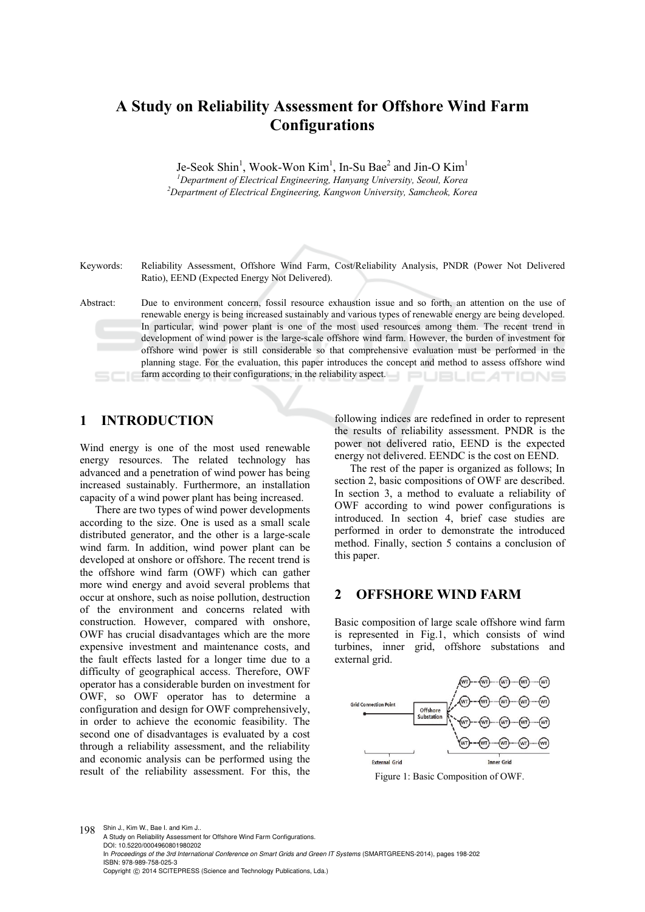# **A Study on Reliability Assessment for Offshore Wind Farm Configurations**

Je-Seok Shin<sup>1</sup>, Wook-Won Kim<sup>1</sup>, In-Su Bae<sup>2</sup> and Jin-O Kim<sup>1</sup> <sup>1</sup> Department of Electrical Engineering, Hanyang University, Seoul, Korea <sup>2</sup> Department of Electrical Engineering, Kangyon University, Seoul, Korea *Department of Electrical Engineering, Kangwon University, Samcheok, Korea* 

Keywords: Reliability Assessment, Offshore Wind Farm, Cost/Reliability Analysis, PNDR (Power Not Delivered Ratio), EEND (Expected Energy Not Delivered).

Abstract: Due to environment concern, fossil resource exhaustion issue and so forth, an attention on the use of renewable energy is being increased sustainably and various types of renewable energy are being developed. In particular, wind power plant is one of the most used resources among them. The recent trend in development of wind power is the large-scale offshore wind farm. However, the burden of investment for offshore wind power is still considerable so that comprehensive evaluation must be performed in the planning stage. For the evaluation, this paper introduces the concept and method to assess offshore wind farm according to their configurations, in the reliability aspect. JBLIC ATIONS

## **1 INTRODUCTION**

Wind energy is one of the most used renewable energy resources. The related technology has advanced and a penetration of wind power has being increased sustainably. Furthermore, an installation capacity of a wind power plant has being increased.

There are two types of wind power developments according to the size. One is used as a small scale distributed generator, and the other is a large-scale wind farm. In addition, wind power plant can be developed at onshore or offshore. The recent trend is the offshore wind farm (OWF) which can gather more wind energy and avoid several problems that occur at onshore, such as noise pollution, destruction of the environment and concerns related with construction. However, compared with onshore, OWF has crucial disadvantages which are the more expensive investment and maintenance costs, and the fault effects lasted for a longer time due to a difficulty of geographical access. Therefore, OWF operator has a considerable burden on investment for OWF, so OWF operator has to determine a configuration and design for OWF comprehensively, in order to achieve the economic feasibility. The second one of disadvantages is evaluated by a cost through a reliability assessment, and the reliability and economic analysis can be performed using the result of the reliability assessment. For this, the

following indices are redefined in order to represent the results of reliability assessment. PNDR is the power not delivered ratio, EEND is the expected energy not delivered. EENDC is the cost on EEND.

The rest of the paper is organized as follows; In section 2, basic compositions of OWF are described. In section 3, a method to evaluate a reliability of OWF according to wind power configurations is introduced. In section 4, brief case studies are performed in order to demonstrate the introduced method. Finally, section 5 contains a conclusion of this paper.

## **2 OFFSHORE WIND FARM**

Basic composition of large scale offshore wind farm is represented in Fig.1, which consists of wind turbines, inner grid, offshore substations and external grid.



Figure 1: Basic Composition of OWF.

198 Shin J., Kim W., Bae I. and Kim J.. A Study on Reliability Assessment for Offshore Wind Farm Configurations. DOI: 10.5220/0004960801980202 In *Proceedings of the 3rd International Conference on Smart Grids and Green IT Systems* (SMARTGREENS-2014), pages 198-202 ISBN: 978-989-758-025-3 Copyright (C) 2014 SCITEPRESS (Science and Technology Publications, Lda.)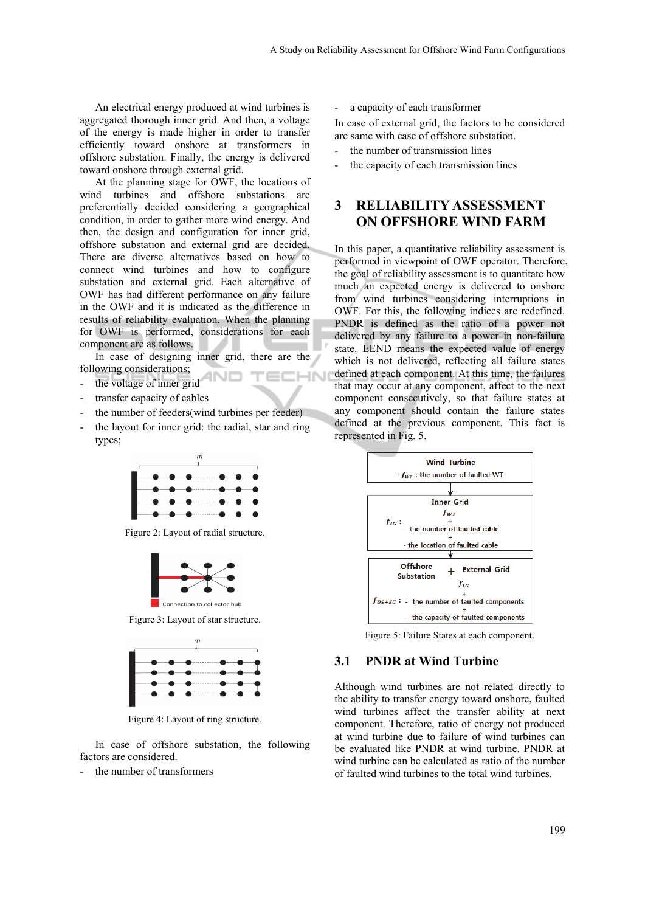An electrical energy produced at wind turbines is aggregated thorough inner grid. And then, a voltage of the energy is made higher in order to transfer efficiently toward onshore at transformers in offshore substation. Finally, the energy is delivered toward onshore through external grid.

At the planning stage for OWF, the locations of wind turbines and offshore substations are preferentially decided considering a geographical condition, in order to gather more wind energy. And then, the design and configuration for inner grid, offshore substation and external grid are decided. There are diverse alternatives based on how to connect wind turbines and how to configure substation and external grid. Each alternative of OWF has had different performance on any failure in the OWF and it is indicated as the difference in results of reliability evaluation. When the planning for OWF is performed, considerations for each component are as follows.

In case of designing inner grid, there are the following considerations; **IHN** 

- the voltage of inner grid
- transfer capacity of cables
- the number of feeders(wind turbines per feeder)
- the layout for inner grid: the radial, star and ring types;



Figure 2: Layout of radial structure.



Figure 3: Layout of star structure.



Figure 4: Layout of ring structure.

In case of offshore substation, the following factors are considered.

- the number of transformers

a capacity of each transformer

In case of external grid, the factors to be considered are same with case of offshore substation.

- the number of transmission lines
- the capacity of each transmission lines

## **3 RELIABILITY ASSESSMENT ON OFFSHORE WIND FARM**

In this paper, a quantitative reliability assessment is performed in viewpoint of OWF operator. Therefore, the goal of reliability assessment is to quantitate how much an expected energy is delivered to onshore from wind turbines considering interruptions in OWF. For this, the following indices are redefined. PNDR is defined as the ratio of a power not delivered by any failure to a power in non-failure state. EEND means the expected value of energy which is not delivered, reflecting all failure states defined at each component. At this time, the failures that may occur at any component, affect to the next component consecutively, so that failure states at any component should contain the failure states defined at the previous component. This fact is represented in Fig. 5.



Figure 5: Failure States at each component.

#### **3.1 PNDR at Wind Turbine**

Although wind turbines are not related directly to the ability to transfer energy toward onshore, faulted wind turbines affect the transfer ability at next component. Therefore, ratio of energy not produced at wind turbine due to failure of wind turbines can be evaluated like PNDR at wind turbine. PNDR at wind turbine can be calculated as ratio of the number of faulted wind turbines to the total wind turbines.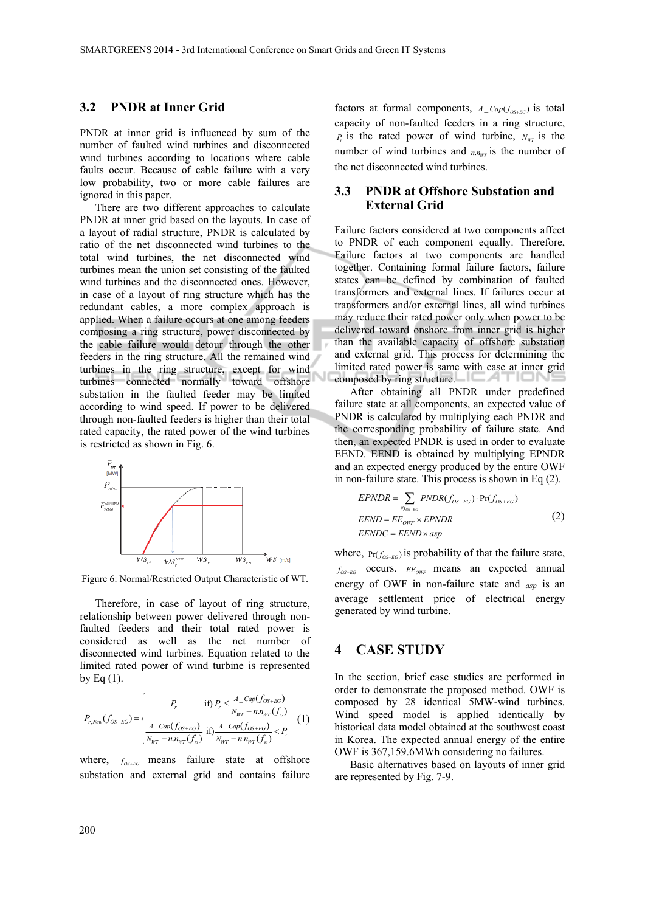#### **3.2 PNDR at Inner Grid**

PNDR at inner grid is influenced by sum of the number of faulted wind turbines and disconnected wind turbines according to locations where cable faults occur. Because of cable failure with a very low probability, two or more cable failures are ignored in this paper.

There are two different approaches to calculate PNDR at inner grid based on the layouts. In case of a layout of radial structure, PNDR is calculated by ratio of the net disconnected wind turbines to the total wind turbines, the net disconnected wind turbines mean the union set consisting of the faulted wind turbines and the disconnected ones. However, in case of a layout of ring structure which has the redundant cables, a more complex approach is applied. When a failure occurs at one among feeders composing a ring structure, power disconnected by the cable failure would detour through the other feeders in the ring structure. All the remained wind turbines in the ring structure, except for wind turbines connected normally toward offshore substation in the faulted feeder may be limited according to wind speed. If power to be delivered through non-faulted feeders is higher than their total rated capacity, the rated power of the wind turbines is restricted as shown in Fig. 6.



Figure 6: Normal/Restricted Output Characteristic of WT.

Therefore, in case of layout of ring structure, relationship between power delivered through nonfaulted feeders and their total rated power is considered as well as the net number of disconnected wind turbines. Equation related to the limited rated power of wind turbine is represented by Eq  $(1)$ .

$$
P_{r, New}(f_{OS+EG}) = \begin{cases} P_r & \text{if } P_r \leq \frac{A\_Cap(f_{OS+EG})}{N_{WT} - n.n_{WT}(f_{oc})} \\ \frac{A\_Cap(f_{OS+EG})}{N_{WT} - n.n_{WT}(f_{oc})} & \text{if } P_{NT} - n.n_{WT}(f_{oc}) < P_r \end{cases} \tag{1}
$$

where,  $f_{OS+EG}$  means failure state at offshore substation and external grid and contains failure

factors at formal components,  $A_{Cap(f_{OS+EG})}$  is total capacity of non-faulted feeders in a ring structure,  $P_r$  is the rated power of wind turbine,  $N_{WT}$  is the number of wind turbines and  $n_{\nu}$  *n* is the number of the net disconnected wind turbines.

#### **3.3 PNDR at Offshore Substation and External Grid**

Failure factors considered at two components affect to PNDR of each component equally. Therefore, Failure factors at two components are handled together. Containing formal failure factors, failure states can be defined by combination of faulted transformers and external lines. If failures occur at transformers and/or external lines, all wind turbines may reduce their rated power only when power to be delivered toward onshore from inner grid is higher than the available capacity of offshore substation and external grid. This process for determining the limited rated power is same with case at inner grid composed by ring structure.  $\Box$ 

After obtaining all PNDR under predefined failure state at all components, an expected value of PNDR is calculated by multiplying each PNDR and the corresponding probability of failure state. And then, an expected PNDR is used in order to evaluate EEND. EEND is obtained by multiplying EPNDR and an expected energy produced by the entire OWF in non-failure state. This process is shown in Eq (2).

$$
EPNDR = \sum_{\forall f_{OS+EG}} PNDR(f_{OS+EG}) \cdot Pr(f_{OS+EG})
$$
  
\n
$$
EEND = EE_{OWF} \times EPNDR
$$
  
\n
$$
EENDC = EEND \times asp
$$
\n(2)

where,  $Pr(f_{OS+EG})$  is probability of that the failure state,  $f_{OSEFG}$  occurs.  $EE_{OWF}$  means an expected annual energy of OWF in non-failure state and *asp* is an average settlement price of electrical energy generated by wind turbine.

#### **4 CASE STUDY**

In the section, brief case studies are performed in order to demonstrate the proposed method. OWF is composed by 28 identical 5MW-wind turbines. Wind speed model is applied identically by historical data model obtained at the southwest coast in Korea. The expected annual energy of the entire OWF is 367,159.6MWh considering no failures.

Basic alternatives based on layouts of inner grid are represented by Fig. 7-9.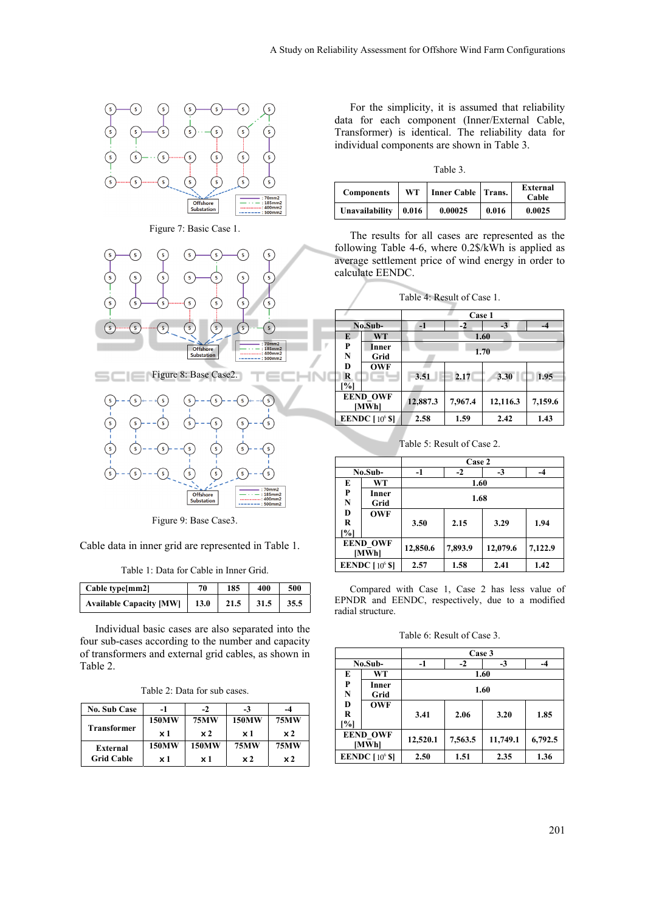

Figure 9: Base Case3.

Cable data in inner grid are represented in Table 1.

|  | Table 1: Data for Cable in Inner Grid. |  |  |  |  |  |  |  |
|--|----------------------------------------|--|--|--|--|--|--|--|
|--|----------------------------------------|--|--|--|--|--|--|--|

| Cable type[mm2]                | 70   | 185  | 400  | 500  |
|--------------------------------|------|------|------|------|
| <b>Available Capacity [MW]</b> | 13.0 | 21.5 | 31.5 | 35.5 |

Individual basic cases are also separated into the four sub-cases according to the number and capacity of transformers and external grid cables, as shown in Table 2.

Table 2: Data for sub cases.

| <b>No. Sub Case</b> | -1         | $-2$         | $-3$         | -4             |
|---------------------|------------|--------------|--------------|----------------|
|                     | 150MW      | <b>75MW</b>  | <b>150MW</b> | <b>75MW</b>    |
| <b>Transformer</b>  | $\times 1$ | $\times 2$   | $\times 1$   | $\times 2$     |
| External            | 150MW      | <b>150MW</b> | <b>75MW</b>  | <b>75MW</b>    |
| <b>Grid Cable</b>   | $\times 1$ | x 1          | $\times 2$   | x <sub>2</sub> |

For the simplicity, it is assumed that reliability data for each component (Inner/External Cable, Transformer) is identical. The reliability data for individual components are shown in Table 3.

Table 3.

| <b>Components</b> | WT    | Inner Cable   Trans. |       | <b>External</b><br>Cable |
|-------------------|-------|----------------------|-------|--------------------------|
| Unavailability    | 0.016 | 0.00025              | 0.016 | 0.0025                   |

The results for all cases are represented as the following Table 4-6, where 0.2\$/kWh is applied as average settlement price of wind energy in order to calculate EENDC.

| Table 4: Result of Case 1. |            |          |         |          |         |  |
|----------------------------|------------|----------|---------|----------|---------|--|
|                            |            |          | Case 1  |          |         |  |
|                            | No.Sub-    | $-1$     | $-2$    | $-3$     | $-4$    |  |
| E                          | <b>WT</b>  |          |         | 1.60     |         |  |
| P                          | Inner      |          |         |          |         |  |
| N                          | Grid       | 1.70     |         |          |         |  |
| D                          | <b>OWF</b> |          |         |          |         |  |
| R                          |            | 3.51     | 2.17    | 3.30     | 1.95    |  |
| %                          |            |          |         |          |         |  |
| <b>EEND_OWF</b><br>[MWh]   |            | 12,887.3 | 7,967.4 | 12,116.3 | 7,159.6 |  |
| EENDC $[10^6 S]$           |            | 2.58     | 1.59    | 2.42     | 1.43    |  |

Table 5: Result of Case 2.

|                             |               | Case 2             |         |          |         |  |
|-----------------------------|---------------|--------------------|---------|----------|---------|--|
| No.Sub-                     |               | $-2$<br>$-3$<br>-1 |         |          |         |  |
| E                           | WT            | 1.60               |         |          |         |  |
| P<br>N                      | Inner<br>Grid |                    | 1.68    |          |         |  |
| D<br><b>OWF</b><br>R<br>[%] |               | 3.50               | 2.15    | 3.29     | 1.94    |  |
| <b>EEND OWF</b><br>[MWh]    |               | 12,850.6           | 7,893.9 | 12,079.6 | 7,122.9 |  |
| EENDC $[10^6 S]$            |               | 2.57               | 1.58    | 2.41     | 1.42    |  |

Compared with Case 1, Case 2 has less value of EPNDR and EENDC, respectively, due to a modified radial structure.

Table 6: Result of Case 3.

|                          |               | Case 3               |         |          |         |  |
|--------------------------|---------------|----------------------|---------|----------|---------|--|
| No.Sub-                  |               | $-3$<br>$-1$<br>$-2$ |         | -4       |         |  |
| E                        | WT            | 1.60                 |         |          |         |  |
| P<br>N                   | Inner<br>Grid | 1.60                 |         |          |         |  |
| D<br>R<br>[%]            | <b>OWF</b>    | 3.41                 | 2.06    | 3.20     | 1.85    |  |
| <b>EEND OWF</b><br>[MWh] |               | 12,520.1             | 7,563.5 | 11,749.1 | 6,792.5 |  |
| EENDC $[10^6$ \$]        |               | 2.50                 | 1.51    | 2.35     | 1.36    |  |